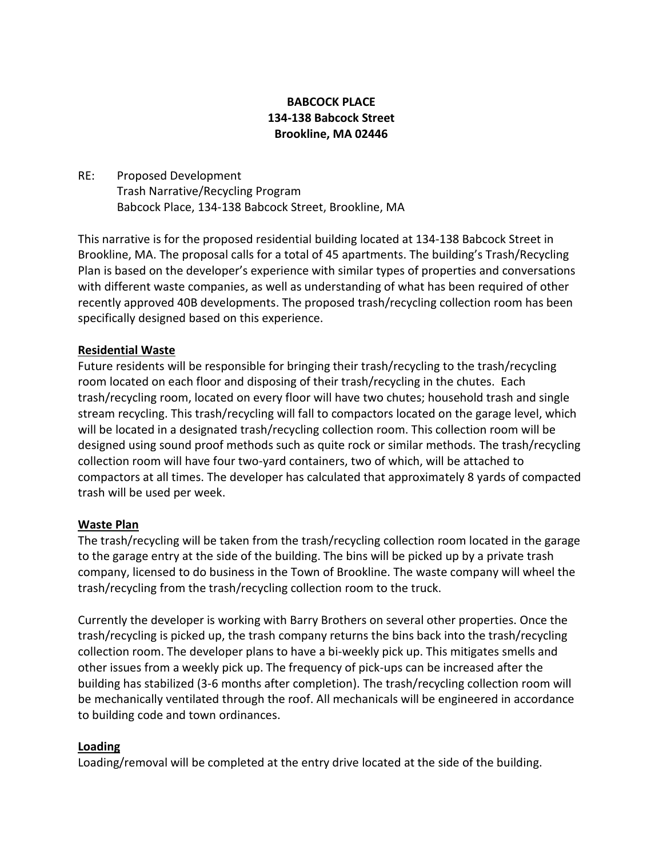## **BABCOCK PLACE 134-138 Babcock Street Brookline, MA 02446**

RE: Proposed Development Trash Narrative/Recycling Program Babcock Place, 134-138 Babcock Street, Brookline, MA

This narrative is for the proposed residential building located at 134-138 Babcock Street in Brookline, MA. The proposal calls for a total of 45 apartments. The building's Trash/Recycling Plan is based on the developer's experience with similar types of properties and conversations with different waste companies, as well as understanding of what has been required of other recently approved 40B developments. The proposed trash/recycling collection room has been specifically designed based on this experience.

### **Residential Waste**

Future residents will be responsible for bringing their trash/recycling to the trash/recycling room located on each floor and disposing of their trash/recycling in the chutes. Each trash/recycling room, located on every floor will have two chutes; household trash and single stream recycling. This trash/recycling will fall to compactors located on the garage level, which will be located in a designated trash/recycling collection room. This collection room will be designed using sound proof methods such as quite rock or similar methods. The trash/recycling collection room will have four two-yard containers, two of which, will be attached to compactors at all times. The developer has calculated that approximately 8 yards of compacted trash will be used per week.

### **Waste Plan**

The trash/recycling will be taken from the trash/recycling collection room located in the garage to the garage entry at the side of the building. The bins will be picked up by a private trash company, licensed to do business in the Town of Brookline. The waste company will wheel the trash/recycling from the trash/recycling collection room to the truck.

Currently the developer is working with Barry Brothers on several other properties. Once the trash/recycling is picked up, the trash company returns the bins back into the trash/recycling collection room. The developer plans to have a bi-weekly pick up. This mitigates smells and other issues from a weekly pick up. The frequency of pick-ups can be increased after the building has stabilized (3-6 months after completion). The trash/recycling collection room will be mechanically ventilated through the roof. All mechanicals will be engineered in accordance to building code and town ordinances.

### **Loading**

Loading/removal will be completed at the entry drive located at the side of the building.